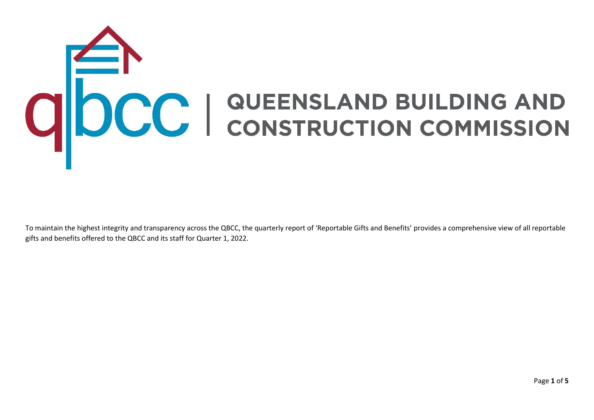## **CONSTRUCTION COMMISSION**

To maintain the highest integrity and transparency across the QBCC, the quarterly report of 'Reportable Gifts and Benefits' provides a comprehensive view of all reportable gifts and benefits offered to the QBCC and its staff for Quarter 1, 2022.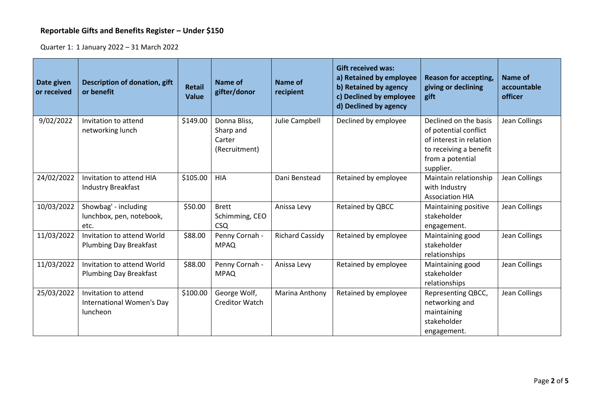## **Reportable Gifts and Benefits Register – Under \$150**

Quarter 1: 1 January 2022 – 31 March 2022

| Date given<br>or received | Description of donation, gift<br>or benefit                   | <b>Retail</b><br><b>Value</b> | Name of<br>gifter/donor                              | <b>Name of</b><br>recipient | <b>Gift received was:</b><br>a) Retained by employee<br>b) Retained by agency<br>c) Declined by employee<br>d) Declined by agency | <b>Reason for accepting,</b><br>giving or declining<br>gift                                                                          | Name of<br>accountable<br>officer |
|---------------------------|---------------------------------------------------------------|-------------------------------|------------------------------------------------------|-----------------------------|-----------------------------------------------------------------------------------------------------------------------------------|--------------------------------------------------------------------------------------------------------------------------------------|-----------------------------------|
| 9/02/2022                 | Invitation to attend<br>networking lunch                      | \$149.00                      | Donna Bliss,<br>Sharp and<br>Carter<br>(Recruitment) | Julie Campbell              | Declined by employee                                                                                                              | Declined on the basis<br>of potential conflict<br>of interest in relation<br>to receiving a benefit<br>from a potential<br>supplier. | Jean Collings                     |
| 24/02/2022                | Invitation to attend HIA<br><b>Industry Breakfast</b>         | \$105.00                      | <b>HIA</b>                                           | Dani Benstead               | Retained by employee                                                                                                              | Maintain relationship<br>with Industry<br><b>Association HIA</b>                                                                     | Jean Collings                     |
| 10/03/2022                | Showbag' - including<br>lunchbox, pen, notebook,<br>etc.      | \$50.00                       | <b>Brett</b><br>Schimming, CEO<br><b>CSQ</b>         | Anissa Levy                 | Retained by QBCC                                                                                                                  | Maintaining positive<br>stakeholder<br>engagement.                                                                                   | Jean Collings                     |
| 11/03/2022                | Invitation to attend World<br><b>Plumbing Day Breakfast</b>   | \$88.00                       | Penny Cornah -<br><b>MPAQ</b>                        | <b>Richard Cassidy</b>      | Retained by employee                                                                                                              | Maintaining good<br>stakeholder<br>relationships                                                                                     | Jean Collings                     |
| 11/03/2022                | Invitation to attend World<br><b>Plumbing Day Breakfast</b>   | \$88.00                       | Penny Cornah -<br><b>MPAQ</b>                        | Anissa Levy                 | Retained by employee                                                                                                              | Maintaining good<br>stakeholder<br>relationships                                                                                     | Jean Collings                     |
| 25/03/2022                | Invitation to attend<br>International Women's Day<br>luncheon | \$100.00                      | George Wolf,<br><b>Creditor Watch</b>                | Marina Anthony              | Retained by employee                                                                                                              | Representing QBCC,<br>networking and<br>maintaining<br>stakeholder<br>engagement.                                                    | Jean Collings                     |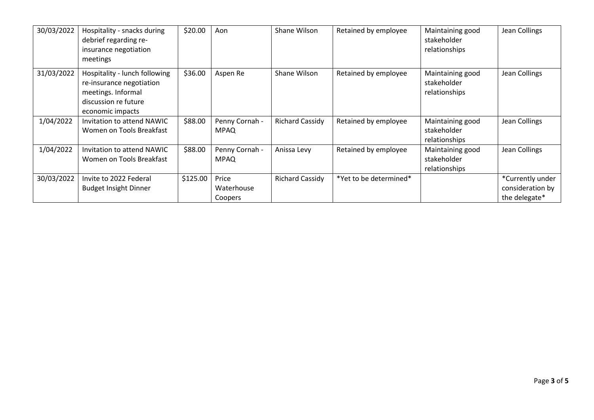| 30/03/2022 | Hospitality - snacks during<br>debrief regarding re-<br>insurance negotiation<br>meetings                                   | \$20.00  | Aon                            | Shane Wilson           | Retained by employee   | Maintaining good<br>stakeholder<br>relationships | Jean Collings                                         |
|------------|-----------------------------------------------------------------------------------------------------------------------------|----------|--------------------------------|------------------------|------------------------|--------------------------------------------------|-------------------------------------------------------|
| 31/03/2022 | Hospitality - lunch following<br>re-insurance negotiation<br>meetings. Informal<br>discussion re future<br>economic impacts | \$36.00  | Aspen Re                       | Shane Wilson           | Retained by employee   | Maintaining good<br>stakeholder<br>relationships | Jean Collings                                         |
| 1/04/2022  | Invitation to attend NAWIC<br>Women on Tools Breakfast                                                                      | \$88.00  | Penny Cornah -<br><b>MPAQ</b>  | <b>Richard Cassidy</b> | Retained by employee   | Maintaining good<br>stakeholder<br>relationships | Jean Collings                                         |
| 1/04/2022  | Invitation to attend NAWIC<br>Women on Tools Breakfast                                                                      | \$88.00  | Penny Cornah -<br><b>MPAQ</b>  | Anissa Levy            | Retained by employee   | Maintaining good<br>stakeholder<br>relationships | Jean Collings                                         |
| 30/03/2022 | Invite to 2022 Federal<br><b>Budget Insight Dinner</b>                                                                      | \$125.00 | Price<br>Waterhouse<br>Coopers | <b>Richard Cassidy</b> | *Yet to be determined* |                                                  | *Currently under<br>consideration by<br>the delegate* |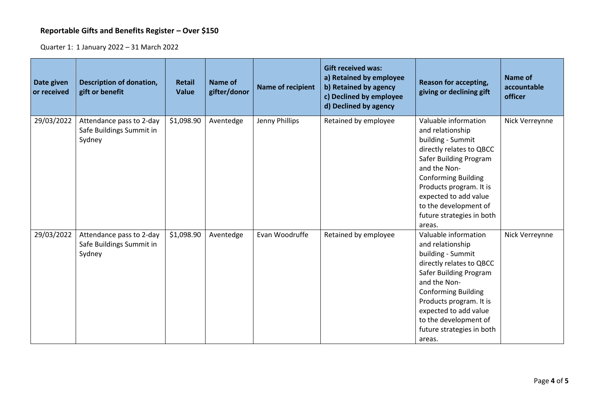## **Reportable Gifts and Benefits Register – Over \$150**

Quarter 1: 1 January 2022 – 31 March 2022

| Date given<br>or received | <b>Description of donation,</b><br>gift or benefit             | <b>Retail</b><br><b>Value</b> | <b>Name of</b><br>gifter/donor | <b>Name of recipient</b> | <b>Gift received was:</b><br>a) Retained by employee<br>b) Retained by agency<br>c) Declined by employee<br>d) Declined by agency | <b>Reason for accepting,</b><br>giving or declining gift                                                                                                                                                                                                                              | Name of<br>accountable<br>officer |
|---------------------------|----------------------------------------------------------------|-------------------------------|--------------------------------|--------------------------|-----------------------------------------------------------------------------------------------------------------------------------|---------------------------------------------------------------------------------------------------------------------------------------------------------------------------------------------------------------------------------------------------------------------------------------|-----------------------------------|
| 29/03/2022                | Attendance pass to 2-day<br>Safe Buildings Summit in<br>Sydney | \$1,098.90                    | Aventedge                      | Jenny Phillips           | Retained by employee                                                                                                              | Valuable information<br>and relationship<br>building - Summit<br>directly relates to QBCC<br>Safer Building Program<br>and the Non-<br><b>Conforming Building</b><br>Products program. It is<br>expected to add value<br>to the development of<br>future strategies in both<br>areas. | Nick Verreynne                    |
| 29/03/2022                | Attendance pass to 2-day<br>Safe Buildings Summit in<br>Sydney | \$1,098.90                    | Aventedge                      | Evan Woodruffe           | Retained by employee                                                                                                              | Valuable information<br>and relationship<br>building - Summit<br>directly relates to QBCC<br>Safer Building Program<br>and the Non-<br><b>Conforming Building</b><br>Products program. It is<br>expected to add value<br>to the development of<br>future strategies in both<br>areas. | Nick Verreynne                    |